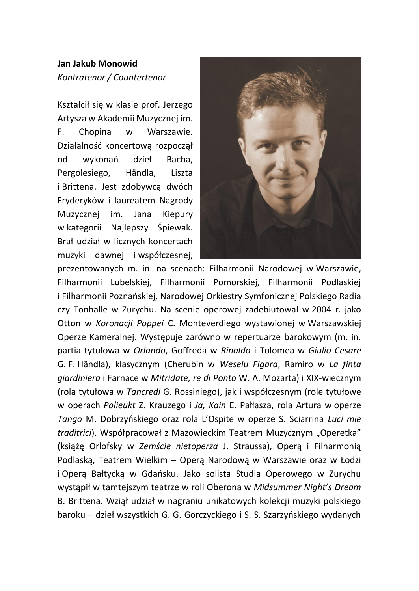## **Jan Jakub Monowid** *Kontratenor / Countertenor*

Kształcił się w klasie prof. Jerzego Artysza w Akademii Muzycznej im. F. Chopina w Warszawie. Działalność koncertową rozpoczął od wykonań dzieł Bacha, Pergolesiego, Händla, Liszta i Brittena. Jest zdobywcą dwóch Fryderyków i laureatem Nagrody Muzycznej im. Jana Kiepury w kategorii Najlepszy Śpiewak. Brał udział w licznych koncertach muzyki dawnej i współczesnej,



prezentowanych m. in. na scenach: Filharmonii Narodowej w Warszawie, Filharmonii Lubelskiej, Filharmonii Pomorskiej, Filharmonii Podlaskiej i Filharmonii Poznańskiej, Narodowej Orkiestry Symfonicznej Polskiego Radia czy Tonhalle w Zurychu. Na scenie operowej zadebiutował w 2004 r. jako Otton w *Koronacji Poppei* C. Monteverdiego wystawionej w Warszawskiej Operze Kameralnej. Występuje zarówno w repertuarze barokowym (m. in. partia tytułowa w *Orlando*, Goffreda w *Rinaldo* i Tolomea w *Giulio Cesare* G. F. Händla), klasycznym (Cherubin w *Weselu Figara*, Ramiro w *La finta giardiniera* i Farnace w *Mitridate, re di Ponto* W. A. Mozarta) i XIX-wiecznym (rola tytułowa w *Tancredi* G. Rossiniego), jak i współczesnym (role tytułowe w operach *Polieukt* Z. Krauzego i *Ja, Kain* E. Pałłasza, rola Artura w operze *Tango* M. Dobrzyńskiego oraz rola L'Ospite w operze S. Sciarrina *Luci mie traditrici*). Współpracował z Mazowieckim Teatrem Muzycznym "Operetka" (książę Orlofsky w *Zemście nietoperza* J. Straussa), Operą i Filharmonią Podlaską, Teatrem Wielkim – Operą Narodową w Warszawie oraz w Łodzi i Operą Bałtycką w Gdańsku. Jako solista Studia Operowego w Zurychu wystąpił w tamtejszym teatrze w roli Oberona w *Midsummer Night's Dream* B. Brittena. Wziął udział w nagraniu unikatowych kolekcji muzyki polskiego baroku – dzieł wszystkich G. G. Gorczyckiego i S. S. Szarzyńskiego wydanych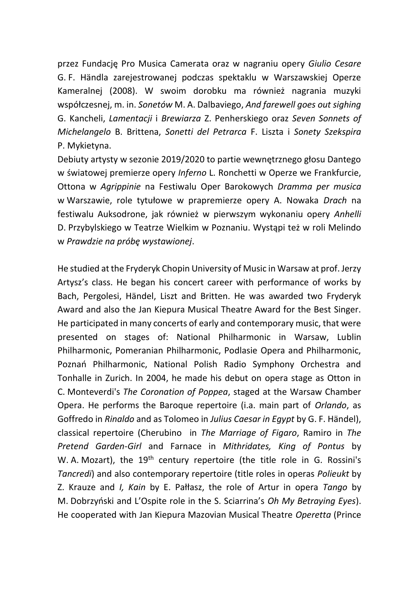przez Fundację Pro Musica Camerata oraz w nagraniu opery *Giulio Cesare* G. F. Händla zarejestrowanej podczas spektaklu w Warszawskiej Operze Kameralnej (2008). W swoim dorobku ma również nagrania muzyki współczesnej, m. in. *Sonetów* M. A. Dalbaviego, *And farewell goes out sighing* G. Kancheli, *Lamentacji* i *Brewiarza* Z. Penherskiego oraz *Seven Sonnets of Michelangelo* B. Brittena, *Sonetti del Petrarca* F. Liszta i *Sonety Szekspira*  P. Mykietyna.

Debiuty artysty w sezonie 2019/2020 to partie wewnętrznego głosu Dantego w światowej premierze opery *Inferno* L. Ronchetti w Operze we Frankfurcie, Ottona w *Agrippinie* na Festiwalu Oper Barokowych *Dramma per musica* w Warszawie, role tytułowe w prapremierze opery A. Nowaka *Drach* na festiwalu Auksodrone, jak również w pierwszym wykonaniu opery *Anhelli* D. Przybylskiego w Teatrze Wielkim w Poznaniu. Wystąpi też w roli Melindo w *Prawdzie na próbę wystawionej*.

He studied at the Fryderyk Chopin University of Music in Warsaw at prof. Jerzy Artysz's class. He began his concert career with performance of works by Bach, Pergolesi, Händel, Liszt and Britten. He was awarded two Fryderyk Award and also the Jan Kiepura Musical Theatre Award for the Best Singer. He participated in many concerts of early and contemporary music, that were presented on stages of: National Philharmonic in Warsaw, Lublin Philharmonic, Pomeranian Philharmonic, Podlasie Opera and Philharmonic, Poznań Philharmonic, National Polish Radio Symphony Orchestra and Tonhalle in Zurich. In 2004, he made his debut on opera stage as Otton in C. Monteverdi's *The Coronation of Poppea*, staged at the Warsaw Chamber Opera. He performs the Baroque repertoire (i.a. main part of *Orlando*, as Goffredo in *Rinaldo* and as Tolomeo in *Julius Caesar in Egypt* by G. F. Händel), classical repertoire (Cherubino in *The Marriage of Figaro*, Ramiro in *The Pretend Garden-Girl* and Farnace in *Mithridates, King of Pontus* by W. A. Mozart), the 19<sup>th</sup> century repertoire (the title role in G. Rossini's *Tancredi*) and also contemporary repertoire (title roles in operas *Polieukt* by Z. Krauze and *I, Kain* by E. Pałłasz, the role of Artur in opera *Tango* by M. Dobrzyński and L'Ospite role in the S. Sciarrina's *Oh My Betraying Eyes*). He cooperated with Jan Kiepura Mazovian Musical Theatre *Operetta* (Prince